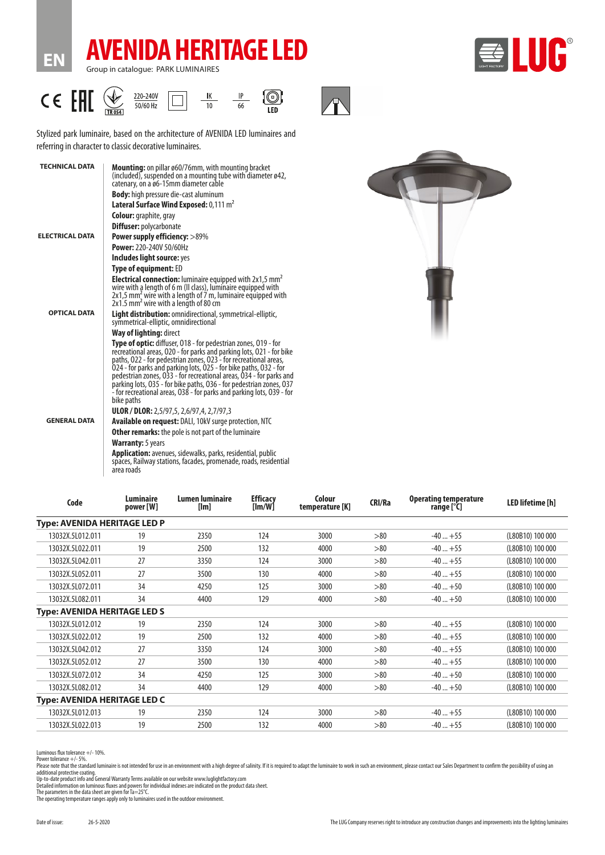



**EN**





#### $c \in \mathbb{H}$  $\bigvee$ <br>TR<sub>054</sub>  $\frac{IP}{66}$ 220-240V  $\frac{IK}{10}$  $\bigcirc$  Led  $\Box$  $50/60$  Hz

Stylized park luminaire, based on the architecture of AVENIDA LED luminaires and referring in character to classic decorative luminaires.

| <b>TECHNICAL DATA</b>  | <b>Mounting:</b> on pillar ø60/76mm, with mounting bracket<br>(included), suspended on a mounting tube with diameter $\varnothing$ 42,<br>catenary, on a ø6-15mm diameter cable                                                                                                                                                                                                                                                                                                                                             |
|------------------------|-----------------------------------------------------------------------------------------------------------------------------------------------------------------------------------------------------------------------------------------------------------------------------------------------------------------------------------------------------------------------------------------------------------------------------------------------------------------------------------------------------------------------------|
|                        | <b>Body:</b> high pressure die-cast aluminum                                                                                                                                                                                                                                                                                                                                                                                                                                                                                |
|                        | Lateral Surface Wind Exposed: 0,111 m <sup>2</sup>                                                                                                                                                                                                                                                                                                                                                                                                                                                                          |
|                        | <b>Colour:</b> graphite, gray                                                                                                                                                                                                                                                                                                                                                                                                                                                                                               |
|                        | <b>Diffuser:</b> polycarbonate                                                                                                                                                                                                                                                                                                                                                                                                                                                                                              |
| <b>ELECTRICAL DATA</b> | <b>Power supply efficiency: &gt;89%</b>                                                                                                                                                                                                                                                                                                                                                                                                                                                                                     |
|                        | Power: 220-240V 50/60Hz                                                                                                                                                                                                                                                                                                                                                                                                                                                                                                     |
|                        | Includes light source: yes                                                                                                                                                                                                                                                                                                                                                                                                                                                                                                  |
|                        | <b>Type of equipment: ED</b>                                                                                                                                                                                                                                                                                                                                                                                                                                                                                                |
|                        | <b>Electrical connection:</b> luminaire equipped with $2x1.5$ mm <sup>2</sup><br>wire with a length of 6 m (II class), luminaire equipped with<br>2x1,5 mm <sup>2</sup> wire with a length of 7 m, luminaire equipped with<br>2x1.5 mm <sup>2</sup> wire with a length of 80 cm                                                                                                                                                                                                                                             |
| <b>OPTICAL DATA</b>    | <b>Light distribution:</b> omnidirectional, symmetrical-elliptic,<br>symmetrical-elliptic, omnidirectional                                                                                                                                                                                                                                                                                                                                                                                                                  |
|                        | Way of lighting: direct                                                                                                                                                                                                                                                                                                                                                                                                                                                                                                     |
|                        | <b>Type of optic:</b> diffuser, 018 - for pedestrian zones, 019 - for<br>recreational areas, 020 - for parks and parking lots, 021 - for bike<br>paths, 022 - for pedestrian zones, 023 - for recreational areas,<br>024 - for parks and parking lots, 025 - for bike paths, 032 - for<br>pedestrian zones, 033 - for recreational areas, 034 - for parks and<br>parking lots, 035 - for bike paths, 036 - for pedestrian zones, 037<br>- for recreational areas, 038 - for parks and parking lots, 039 - for<br>bike paths |
|                        | <b>ULOR / DLOR:</b> 2,5/97,5, 2,6/97,4, 2,7/97,3                                                                                                                                                                                                                                                                                                                                                                                                                                                                            |
| <b>GENERAL DATA</b>    | Available on request: DALI, 10kV surge protection, NTC                                                                                                                                                                                                                                                                                                                                                                                                                                                                      |
|                        | <b>Other remarks:</b> the pole is not part of the luminaire                                                                                                                                                                                                                                                                                                                                                                                                                                                                 |
|                        | <b>Warranty:</b> 5 years                                                                                                                                                                                                                                                                                                                                                                                                                                                                                                    |
|                        | <b>Application:</b> avenues, sidewalks, parks, residential, public<br>spaces, Railway stations, facades, promenade, roads, residential<br>area roads                                                                                                                                                                                                                                                                                                                                                                        |



| Luminaire<br>power [W]              | Lumen luminaire<br>[Im] | <b>Efficacy</b><br>[Im/W] | Colour<br>temperature [K] | <b>CRI/Ra</b> | <b>Operating temperature</b><br>range [°C] | <b>LED lifetime [h]</b> |
|-------------------------------------|-------------------------|---------------------------|---------------------------|---------------|--------------------------------------------|-------------------------|
| <b>Type: AVENIDA HERITAGE LED P</b> |                         |                           |                           |               |                                            |                         |
| 19                                  | 2350                    | 124                       | 3000                      | >80           | $-40+55$                                   | (L80B10) 100 000        |
| 19                                  | 2500                    | 132                       | 4000                      | > 80          | $-40+55$                                   | (L80B10) 100 000        |
| 27                                  | 3350                    | 124                       | 3000                      | > 80          | $-40+55$                                   | (L80B10) 100 000        |
| 27                                  | 3500                    | 130                       | 4000                      | > 80          | $-40+55$                                   | (L80B10) 100 000        |
| 34                                  | 4250                    | 125                       | 3000                      | > 80          | $-40+50$                                   | (L80B10) 100 000        |
| 34                                  | 4400                    | 129                       | 4000                      | > 80          | $-40+50$                                   | (L80B10) 100 000        |
| <b>Type: AVENIDA HERITAGE LED S</b> |                         |                           |                           |               |                                            |                         |
| 19                                  | 2350                    | 124                       | 3000                      | > 80          | $-40+55$                                   | (L80B10) 100 000        |
| 19                                  | 2500                    | 132                       | 4000                      | > 80          | $-40+55$                                   | (L80B10) 100 000        |
| 27                                  | 3350                    | 124                       | 3000                      | > 80          | $-40+55$                                   | (L80B10) 100 000        |
| 27                                  | 3500                    | 130                       | 4000                      | > 80          | $-40+55$                                   | (L80B10) 100 000        |
| 34                                  | 4250                    | 125                       | 3000                      | > 80          | $-40+50$                                   | (L80B10) 100 000        |
| 34                                  | 4400                    | 129                       | 4000                      | > 80          | $-40+50$                                   | (L80B10) 100 000        |
| <b>Type: AVENIDA HERITAGE LED C</b> |                         |                           |                           |               |                                            |                         |
| 19                                  | 2350                    | 124                       | 3000                      | > 80          | $-40+55$                                   | (L80B10) 100 000        |
| 19                                  | 2500                    | 132                       | 4000                      | > 80          | $-40+55$                                   | (L80B10) 100 000        |
|                                     |                         |                           |                           |               |                                            |                         |

Luminous flux tolerance +/- 10%.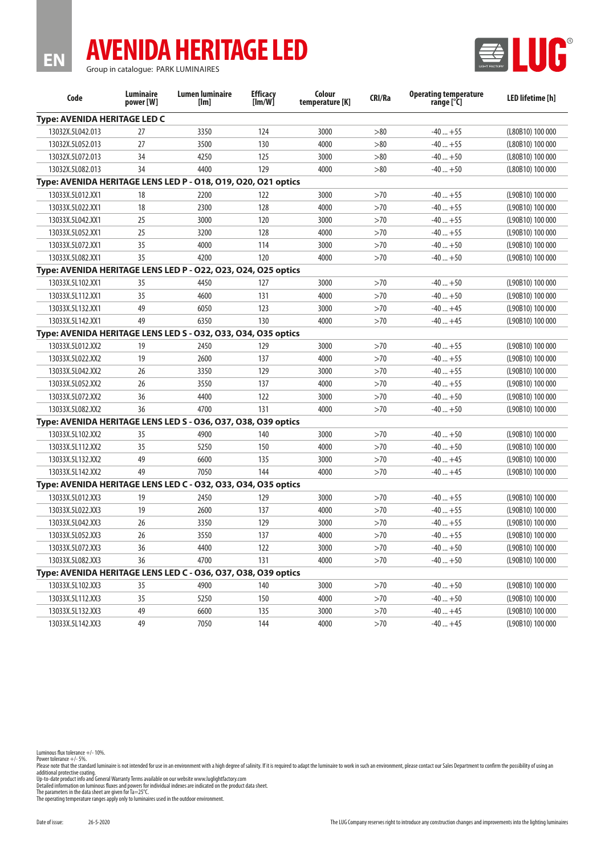# **AVENIDA HERITAGE LED**



Group in catalogue: PARK LUMINAIRES

**EN**

| Code                                                          | <b>Luminaire</b><br>power [W] | <b>Lumen luminaire</b><br>[Im] | <b>Efficacy</b><br>[Im/W] | Colour<br>temperature [K] | CRI/Ra | <b>Operating temperature</b><br>range [°C] | LED lifetime [h] |
|---------------------------------------------------------------|-------------------------------|--------------------------------|---------------------------|---------------------------|--------|--------------------------------------------|------------------|
| Type: AVENIDA HERITAGE LED C                                  |                               |                                |                           |                           |        |                                            |                  |
| 13032X.5L042.013                                              | 27                            | 3350                           | 124                       | 3000                      | >80    | $-40+55$                                   | (L80B10) 100 000 |
| 13032X.5L052.013                                              | 27                            | 3500                           | 130                       | 4000                      | >80    | $-40+55$                                   | (L80B10) 100 000 |
| 13032X.5L072.013                                              | 34                            | 4250                           | 125                       | 3000                      | >80    | $-40+50$                                   | (L80B10) 100 000 |
| 13032X.5L082.013                                              | 34                            | 4400                           | 129                       | 4000                      | >80    | $-40+50$                                   | (L80B10) 100 000 |
| Type: AVENIDA HERITAGE LENS LED P - 018, 019, 020, 021 optics |                               |                                |                           |                           |        |                                            |                  |
| 13033X.5L012.XX1                                              | 18                            | 2200                           | 122                       | 3000                      | >70    | $-40+55$                                   | (L90B10) 100 000 |
| 13033X.5L022.XX1                                              | 18                            | 2300                           | 128                       | 4000                      | >70    | $-40+55$                                   | (L90B10) 100 000 |
| 13033X.5L042.XX1                                              | 25                            | 3000                           | 120                       | 3000                      | >70    | $-40+55$                                   | (L90B10) 100 000 |
| 13033X.5L052.XX1                                              | 25                            | 3200                           | 128                       | 4000                      | >70    | $-40+55$                                   | (L90B10) 100 000 |
| 13033X.5L072.XX1                                              | 35                            | 4000                           | 114                       | 3000                      | >70    | $-40+50$                                   | (L90B10) 100 000 |
| 13033X.5L082.XX1                                              | 35                            | 4200                           | 120                       | 4000                      | >70    | $-40+50$                                   | (L90B10) 100 000 |
| Type: AVENIDA HERITAGE LENS LED P - 022, 023, 024, 025 optics |                               |                                |                           |                           |        |                                            |                  |
| 13033X.5L102.XX1                                              | 35                            | 4450                           | 127                       | 3000                      | >70    | $-40+50$                                   | (L90B10) 100 000 |
| 13033X.5L112.XX1                                              | 35                            | 4600                           | 131                       | 4000                      | >70    | $-40+50$                                   | (L90B10) 100 000 |
| 13033X.5L132.XX1                                              | 49                            | 6050                           | 123                       | 3000                      | >70    | $-40+45$                                   | (L90B10) 100 000 |
| 13033X.5L142.XX1                                              | 49                            | 6350                           | 130                       | 4000                      | >70    | $-40+45$                                   | (L90B10) 100 000 |
| Type: AVENIDA HERITAGE LENS LED S - 032, 033, 034, 035 optics |                               |                                |                           |                           |        |                                            |                  |
| 13033X.5L012.XX2                                              | 19                            | 2450                           | 129                       | 3000                      | >70    | $-40+55$                                   | (L90B10) 100 000 |
| 13033X.5L022.XX2                                              | 19                            | 2600                           | 137                       | 4000                      | >70    | $-40+55$                                   | (L90B10) 100 000 |
| 13033X.5L042.XX2                                              | 26                            | 3350                           | 129                       | 3000                      | >70    | $-40+55$                                   | (L90B10) 100 000 |
| 13033X.5L052.XX2                                              | 26                            | 3550                           | 137                       | 4000                      | >70    | $-40+55$                                   | (L90B10) 100 000 |
| 13033X.5L072.XX2                                              | 36                            | 4400                           | 122                       | 3000                      | >70    | $-40+50$                                   | (L90B10) 100 000 |
| 13033X.5L082.XX2                                              | 36                            | 4700                           | 131                       | 4000                      | >70    | $-40+50$                                   | (L90B10) 100 000 |
| Type: AVENIDA HERITAGE LENS LED S - 036, 037, 038, 039 optics |                               |                                |                           |                           |        |                                            |                  |
| 13033X.5L102.XX2                                              | 35                            | 4900                           | 140                       | 3000                      | >70    | $-40+50$                                   | (L90B10) 100 000 |
| 13033X.5L112.XX2                                              | 35                            | 5250                           | 150                       | 4000                      | >70    | $-40+50$                                   | (L90B10) 100 000 |
| 13033X.5L132.XX2                                              | 49                            | 6600                           | 135                       | 3000                      | >70    | $-40+45$                                   | (L90B10) 100 000 |
| 13033X.5L142.XX2                                              | 49                            | 7050                           | 144                       | 4000                      | >70    | $-40+45$                                   | (L90B10) 100 000 |
| Type: AVENIDA HERITAGE LENS LED C - 032, 033, 034, 035 optics |                               |                                |                           |                           |        |                                            |                  |
| 13033X.5L012.XX3                                              | 19                            | 2450                           | 129                       | 3000                      | >70    | $-40+55$                                   | (L90B10) 100 000 |
| 13033X.5L022.XX3                                              | 19                            | 2600                           | 137                       | 4000                      | >70    | $-40+55$                                   | (L90B10) 100 000 |
| 13033X.5L042.XX3                                              | 26                            | 3350                           | 129                       | 3000                      | >70    | $-40+55$                                   | (L90B10) 100 000 |
| 13033X.5L052.XX3                                              | 26                            | 3550                           | 137                       | 4000                      | >70    | $-40+55$                                   | (L90B10) 100 000 |
| 13033X.5L072.XX3                                              | 36                            | 4400                           | 122                       | 3000                      | >70    | $-40+50$                                   | (L90B10) 100 000 |
| 13033X.5L082.XX3                                              | 36                            | 4700                           | 131                       | 4000                      | >70    | $-40+50$                                   | (L90B10) 100 000 |
| Type: AVENIDA HERITAGE LENS LED C - 036, 037, 038, 039 optics |                               |                                |                           |                           |        |                                            |                  |
| 13033X.5L102.XX3                                              | 35                            | 4900                           | 140                       | 3000                      | >70    | $-40+50$                                   | (L90B10) 100 000 |
| 13033X.5L112.XX3                                              | 35                            | 5250                           | 150                       | 4000                      | >70    | $-40+50$                                   | (L90B10) 100 000 |
| 13033X.5L132.XX3                                              | 49                            | 6600                           | 135                       | 3000                      | >70    | $-40+45$                                   | (L90B10) 100 000 |
| 13033X.5L142.XX3                                              | 49                            | 7050                           | 144                       | 4000                      | >70    | $-40+45$                                   | (L90B10) 100 000 |

Luminous flux tolerance +/- 10%.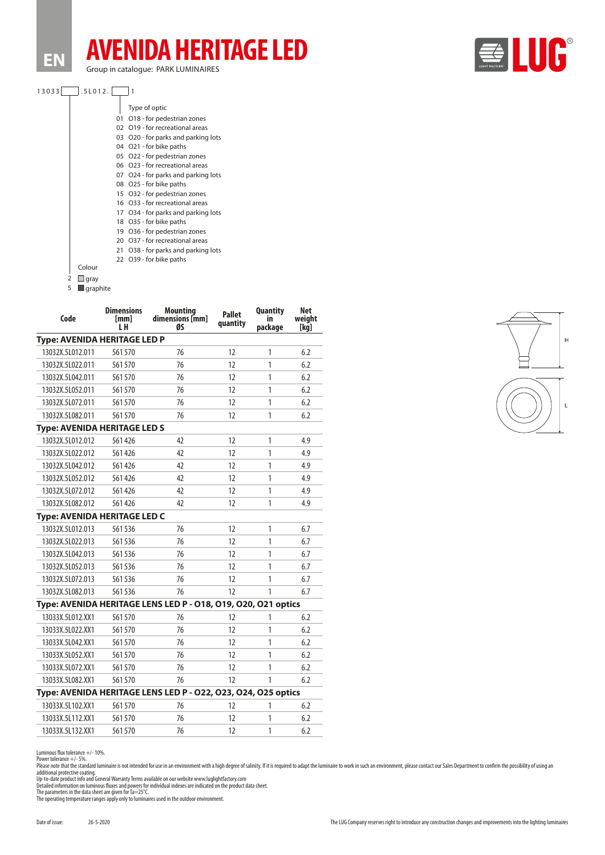**EN**

## **AVENIDA HERITAGE LED** Group in catalogue: PARK LUMINAIRES



| 130331 | .5L012. |  |
|--------|---------|--|
|        |         |  |

|        |    | Type of optic                       |
|--------|----|-------------------------------------|
|        | 01 | O18 - for pedestrian zones          |
|        |    | 02 O19 - for recreational areas     |
|        |    | 03 O20 - for parks and parking lots |
|        |    | 04 O21 - for bike paths             |
|        |    | 05 O22 - for pedestrian zones       |
|        |    | 06 O23 - for recreational areas     |
|        |    | 07 O24 - for parks and parking lots |
|        |    | 08 O25 - for bike paths             |
|        |    | 15 O32 - for pedestrian zones       |
|        |    | 16 O33 - for recreational areas     |
|        |    | 17 O34 - for parks and parking lots |
|        |    | 18 O35 - for bike paths             |
|        |    | 19 O36 - for pedestrian zones       |
|        |    | 20 O37 - for recreational areas     |
|        |    | 21 O38 - for parks and parking lots |
|        |    | 22 O39 - for bike paths             |
| Colour |    |                                     |
|        |    |                                     |





| Code                                                          | <b>Dimensions</b><br>[mm]<br>LН | <b>Mounting</b><br>dimensions [mm]<br>ØS                      | <b>Pallet</b><br>quantity | <b>Quantity</b><br>in<br>package | Net<br>weight<br>[kg] |  |  |
|---------------------------------------------------------------|---------------------------------|---------------------------------------------------------------|---------------------------|----------------------------------|-----------------------|--|--|
| Type: AVENIDA HERITAGE LED P                                  |                                 |                                                               |                           |                                  |                       |  |  |
| 13032X.5L012.011                                              | 561570                          | 76                                                            | 12                        | 1                                | 6.2                   |  |  |
| 13032X.5L022.011                                              | 561570                          | 76                                                            | 12                        | 1                                | 6.2                   |  |  |
| 13032X.5L042.011                                              | 561570                          | 76                                                            | 12                        | 1                                | 6.2                   |  |  |
| 13032X.5L052.011                                              | 561570                          | 76                                                            | 12                        | 1                                | 6.2                   |  |  |
| 13032X.5L072.011                                              | 561570                          | 76                                                            | 12                        | 1                                | 6.2                   |  |  |
| 13032X.5L082.011                                              | 561570                          | 76                                                            | 12                        | 1                                | 6.2                   |  |  |
| <b>Type: AVENIDA HERITAGE LED S</b>                           |                                 |                                                               |                           |                                  |                       |  |  |
| 13032X.5L012.012                                              | 561426                          | 42                                                            | 12                        | 1                                | 4.9                   |  |  |
| 13032X.5L022.012                                              | 561426                          | 42                                                            | 12                        | 1                                | 4.9                   |  |  |
| 13032X.5L042.012                                              | 561426                          | 42                                                            | 12                        | 1                                | 4.9                   |  |  |
| 13032X.5L052.012                                              | 561426                          | 42                                                            | 12                        | 1                                | 4.9                   |  |  |
| 13032X.5L072.012                                              | 561426                          | 42                                                            | 12                        | 1                                | 4.9                   |  |  |
| 13032X.5L082.012                                              | 561426                          | 42                                                            | 12                        | 1                                | 4.9                   |  |  |
| Type: AVENIDA HERITAGE LED C                                  |                                 |                                                               |                           |                                  |                       |  |  |
| 13032X.5L012.013                                              | 561536                          | 76                                                            | 12                        | 1                                | 6.7                   |  |  |
| 13032X.5L022.013                                              | 561 536                         | 76                                                            | 12                        | 1                                | 6.7                   |  |  |
| 13032X.5L042.013                                              | 561536                          | 76                                                            | 12                        | 1                                | 6.7                   |  |  |
| 13032X.5L052.013                                              | 561536                          | 76                                                            | 12                        | 1                                | 6.7                   |  |  |
| 13032X.5L072.013                                              | 561536                          | 76                                                            | 12                        | 1                                | 6.7                   |  |  |
| 13032X.5L082.013                                              | 561536                          | 76                                                            | 12                        | 1                                | 6.7                   |  |  |
|                                                               |                                 | Type: AVENIDA HERITAGE LENS LED P - 018, 019, 020, 021 optics |                           |                                  |                       |  |  |
| 13033X.5L012.XX1                                              | 561570                          | 76                                                            | 12                        | 1                                | 6.2                   |  |  |
| 13033X.5L022.XX1                                              | 561 570                         | 76                                                            | 12                        | 1                                | 6.2                   |  |  |
| 13033X.5L042.XX1                                              | 561570                          | 76                                                            | 12                        | 1                                | 6.2                   |  |  |
| 13033X.5L052.XX1                                              | 561570                          | 76                                                            | 12                        | 1                                | 6.2                   |  |  |
| 13033X.5L072.XX1                                              | 561570                          | 76                                                            | 12                        | 1                                | 6.2                   |  |  |
| 13033X.5L082.XX1                                              | 561570                          | 76                                                            | 12                        | 1                                | 6.2                   |  |  |
| Type: AVENIDA HERITAGE LENS LED P - 022, 023, 024, 025 optics |                                 |                                                               |                           |                                  |                       |  |  |
| 13033X.5L102.XX1                                              | 561570                          | 76                                                            | 12                        | 1                                | 6.2                   |  |  |
| 13033X.5L112.XX1                                              | 561570                          | 76                                                            | 12                        | 1                                | 6.2                   |  |  |
| 13033X.5L132.XX1                                              | 561570                          | 76                                                            | 12                        | 1                                | 6.2                   |  |  |



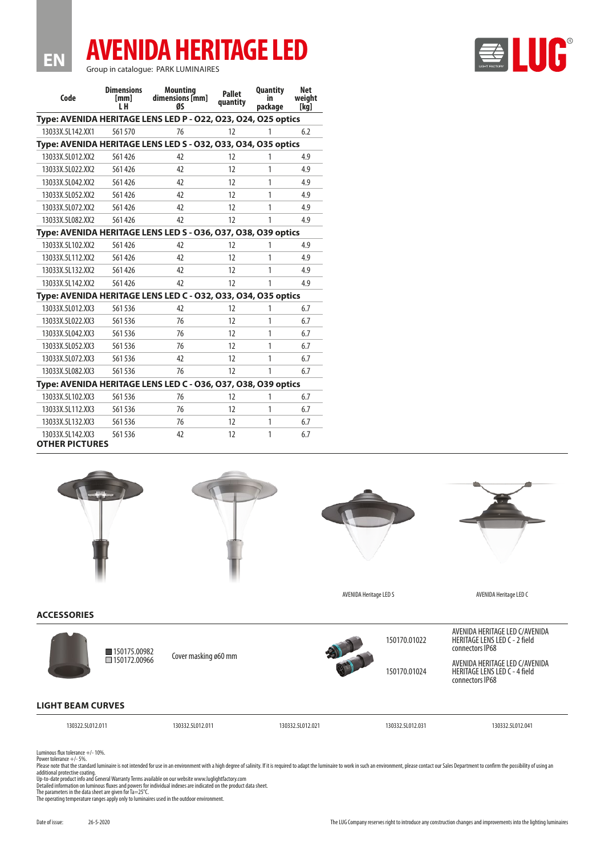## **AVENIDA HERITAGE LED**

Group in catalogue: PARK LUMINAIRES

| Code                                                          | <b>Dimensions</b><br>[mm]<br>i H                              | <b>Mounting</b><br>dimensions [mm]<br>ØS                      | <b>Pallet</b><br>quantity | <b>Quantity</b><br>in<br>package | Net<br>weight<br>[kg] |  |  |  |  |
|---------------------------------------------------------------|---------------------------------------------------------------|---------------------------------------------------------------|---------------------------|----------------------------------|-----------------------|--|--|--|--|
| Type: AVENIDA HERITAGE LENS LED P - 022, 023, 024, 025 optics |                                                               |                                                               |                           |                                  |                       |  |  |  |  |
| 13033X.5L142.XX1                                              | 561 570                                                       | 76                                                            | 12                        | 1                                | 6.2                   |  |  |  |  |
| Type: AVENIDA HERITAGE LENS LED S - 032, 033, 034, 035 optics |                                                               |                                                               |                           |                                  |                       |  |  |  |  |
| 13033X.5L012.XX2                                              | 561426                                                        | 42                                                            | 12                        | 1                                | 4.9                   |  |  |  |  |
| 13033X.5L022.XX2                                              | 561426                                                        | 42                                                            | 12                        | 1                                | 4.9                   |  |  |  |  |
| 13033X.5L042.XX2                                              | 561426                                                        | 42                                                            | 12                        | 1                                | 4.9                   |  |  |  |  |
| 13033X.5L052.XX2                                              | 561426                                                        | 42                                                            | 12                        | 1                                | 4.9                   |  |  |  |  |
| 13033X.5L072.XX2                                              | 561426                                                        | 42                                                            | 12                        | 1                                | 4.9                   |  |  |  |  |
| 13033X.5L082.XX2                                              | 561426                                                        | 47                                                            | 12                        | 1                                | 4.9                   |  |  |  |  |
|                                                               |                                                               | Type: AVENIDA HERITAGE LENS LED S - 036, 037, 038, 039 optics |                           |                                  |                       |  |  |  |  |
| 13033X.5L102.XX2                                              | 561426                                                        | 42                                                            | 12                        | 1                                | 4.9                   |  |  |  |  |
| 13033X.5L112.XX2                                              | 561426                                                        | 42                                                            | 12                        | 1                                | 4.9                   |  |  |  |  |
| 13033X.5L132.XX2                                              | 561426                                                        | 42                                                            | 12                        | 1                                | 4.9                   |  |  |  |  |
| 13033X.5L142.XX2                                              | 561426                                                        | 47                                                            | 12                        | 1                                | 4.9                   |  |  |  |  |
|                                                               | Type: AVENIDA HERITAGE LENS LED C - 032, 033, 034, 035 optics |                                                               |                           |                                  |                       |  |  |  |  |
| 13033X.5L012.XX3                                              | 561536                                                        | 42                                                            | 12                        | 1                                | 6.7                   |  |  |  |  |
| 13033X.5L022.XX3                                              | 561536                                                        | 76                                                            | 12                        | 1                                | 6.7                   |  |  |  |  |
| 13033X.5L042.XX3                                              | 561536                                                        | 76                                                            | 12                        | 1                                | 6.7                   |  |  |  |  |
| 13033X.5L052.XX3                                              | 561536                                                        | 76                                                            | 12                        | 1                                | 6.7                   |  |  |  |  |
| 13033X.5L072.XX3                                              | 561536                                                        | 42                                                            | 12                        | 1                                | 6.7                   |  |  |  |  |
| 13033X.5L082.XX3                                              | 561536                                                        | 76                                                            | 12                        | 1                                | 6.7                   |  |  |  |  |
| Type: AVENIDA HERITAGE LENS LED C - 036, 037, 038, 039 optics |                                                               |                                                               |                           |                                  |                       |  |  |  |  |
| 13033X.5L102.XX3                                              | 561 536                                                       | 76                                                            | 12                        | 1                                | 6.7                   |  |  |  |  |
| 13033X.5L112.XX3                                              | 561536                                                        | 76                                                            | 12                        | 1                                | 6.7                   |  |  |  |  |
| 13033X.5L132.XX3                                              | 561536                                                        | 76                                                            | 12                        | 1                                | 6.7                   |  |  |  |  |
| 13033X.5L142.XX3                                              | 561536                                                        | 42                                                            | 12                        | 1                                | 6.7                   |  |  |  |  |

### **OTHER PICTURES**

**EN**









AVENIDA Heritage LED S<br>
AVENIDA Heritage LED S

AVENIDA HERITAGE LED C/AVENIDA HERITAGE LENS LED C - 2 field

connectors IP68

#### **ACCESSORIES**



AVENIDA HERITAGE LED C/AVENIDA HERITAGE LENS LED C - 4 field connectors IP68

130322.5L012.011 130332.5L012.011 130332.5L012.021 130332.5L012.031 130332.5L012.041

Luminous flux tolerance +/- 10%.

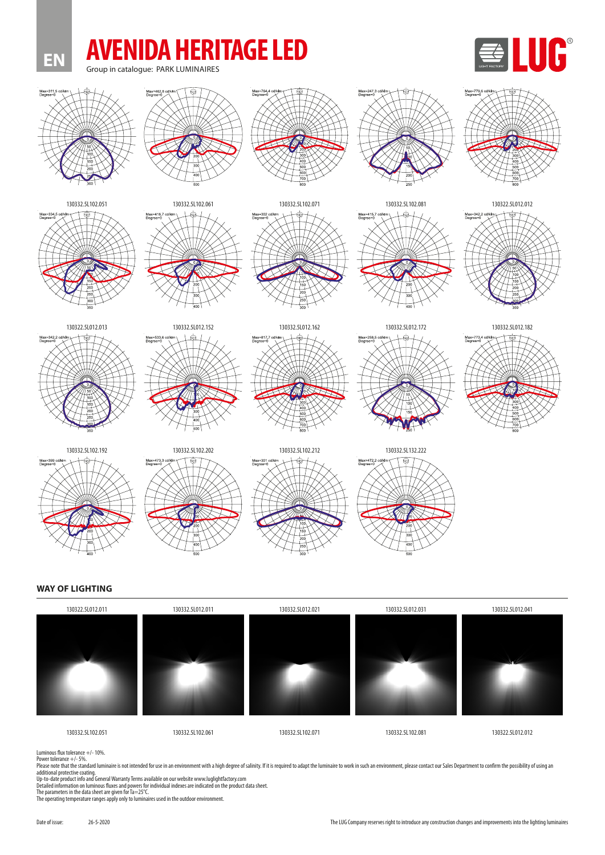

#### **WAY OF LIGHTING**



Luminous flux tolerance +/- 10%.